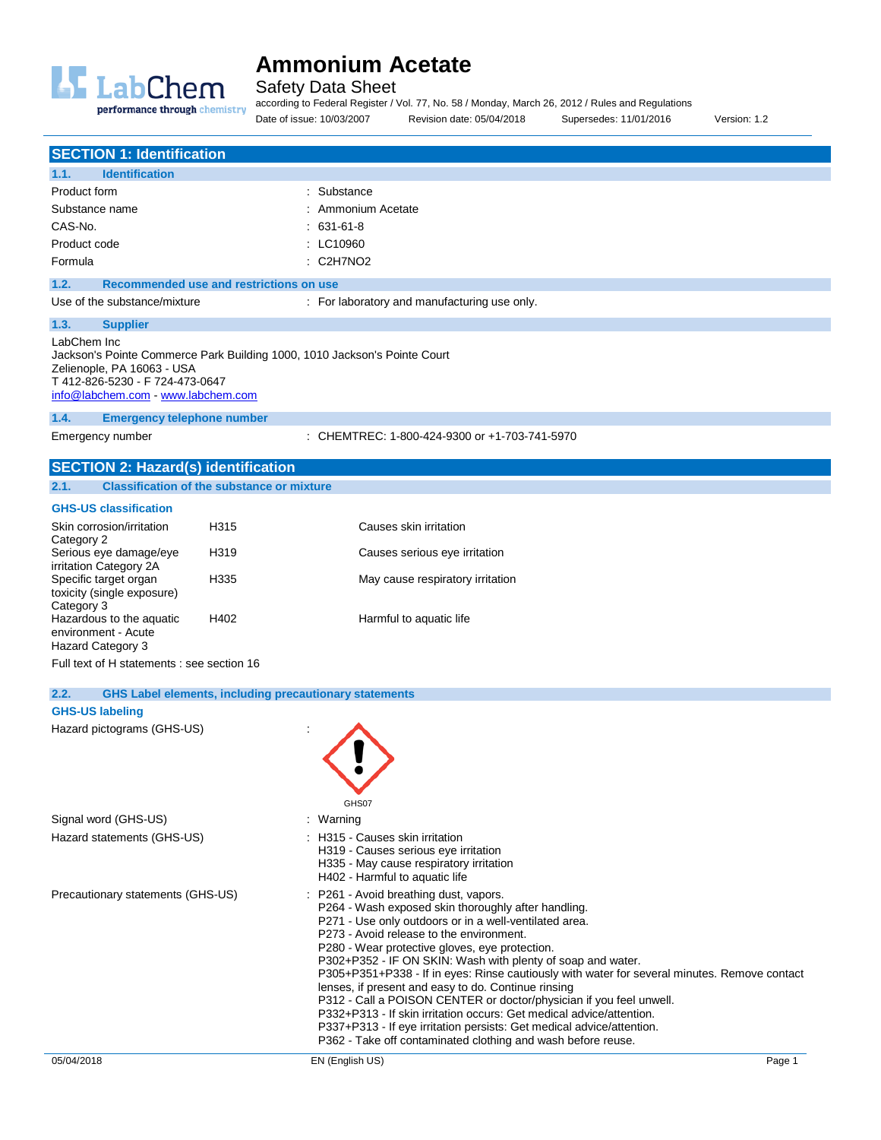

Safety Data Sheet

according to Federal Register / Vol. 77, No. 58 / Monday, March 26, 2012 / Rules and Regulations Date of issue: 10/03/2007 Revision date: 05/04/2018 Supersedes: 11/01/2016 Version: 1.2

|                                                                                                                                                                                                 | <b>SECTION 1: Identification</b>           |                                                               |                                                                                                                                                                                                                                                                                                                                                                                                                                                                                                                                                                                                                                                                                                                                                                   |  |
|-------------------------------------------------------------------------------------------------------------------------------------------------------------------------------------------------|--------------------------------------------|---------------------------------------------------------------|-------------------------------------------------------------------------------------------------------------------------------------------------------------------------------------------------------------------------------------------------------------------------------------------------------------------------------------------------------------------------------------------------------------------------------------------------------------------------------------------------------------------------------------------------------------------------------------------------------------------------------------------------------------------------------------------------------------------------------------------------------------------|--|
| 1.1.                                                                                                                                                                                            | <b>Identification</b>                      |                                                               |                                                                                                                                                                                                                                                                                                                                                                                                                                                                                                                                                                                                                                                                                                                                                                   |  |
| Product form                                                                                                                                                                                    |                                            |                                                               | : Substance                                                                                                                                                                                                                                                                                                                                                                                                                                                                                                                                                                                                                                                                                                                                                       |  |
| Substance name                                                                                                                                                                                  |                                            |                                                               | Ammonium Acetate                                                                                                                                                                                                                                                                                                                                                                                                                                                                                                                                                                                                                                                                                                                                                  |  |
| CAS-No.                                                                                                                                                                                         |                                            |                                                               | 631-61-8                                                                                                                                                                                                                                                                                                                                                                                                                                                                                                                                                                                                                                                                                                                                                          |  |
| Product code                                                                                                                                                                                    |                                            |                                                               | : LC10960                                                                                                                                                                                                                                                                                                                                                                                                                                                                                                                                                                                                                                                                                                                                                         |  |
| Formula                                                                                                                                                                                         |                                            |                                                               | : C2H7NO2                                                                                                                                                                                                                                                                                                                                                                                                                                                                                                                                                                                                                                                                                                                                                         |  |
| 1.2.                                                                                                                                                                                            |                                            | Recommended use and restrictions on use                       |                                                                                                                                                                                                                                                                                                                                                                                                                                                                                                                                                                                                                                                                                                                                                                   |  |
|                                                                                                                                                                                                 | Use of the substance/mixture               |                                                               | : For laboratory and manufacturing use only.                                                                                                                                                                                                                                                                                                                                                                                                                                                                                                                                                                                                                                                                                                                      |  |
|                                                                                                                                                                                                 |                                            |                                                               |                                                                                                                                                                                                                                                                                                                                                                                                                                                                                                                                                                                                                                                                                                                                                                   |  |
| 1.3.                                                                                                                                                                                            | <b>Supplier</b>                            |                                                               |                                                                                                                                                                                                                                                                                                                                                                                                                                                                                                                                                                                                                                                                                                                                                                   |  |
| LabChem Inc<br>Jackson's Pointe Commerce Park Building 1000, 1010 Jackson's Pointe Court<br>Zelienople, PA 16063 - USA<br>T 412-826-5230 - F 724-473-0647<br>info@labchem.com - www.labchem.com |                                            |                                                               |                                                                                                                                                                                                                                                                                                                                                                                                                                                                                                                                                                                                                                                                                                                                                                   |  |
| 1.4.                                                                                                                                                                                            | <b>Emergency telephone number</b>          |                                                               |                                                                                                                                                                                                                                                                                                                                                                                                                                                                                                                                                                                                                                                                                                                                                                   |  |
| Emergency number                                                                                                                                                                                |                                            |                                                               | : CHEMTREC: 1-800-424-9300 or +1-703-741-5970                                                                                                                                                                                                                                                                                                                                                                                                                                                                                                                                                                                                                                                                                                                     |  |
|                                                                                                                                                                                                 |                                            |                                                               |                                                                                                                                                                                                                                                                                                                                                                                                                                                                                                                                                                                                                                                                                                                                                                   |  |
|                                                                                                                                                                                                 | <b>SECTION 2: Hazard(s) identification</b> |                                                               |                                                                                                                                                                                                                                                                                                                                                                                                                                                                                                                                                                                                                                                                                                                                                                   |  |
| 2.1.                                                                                                                                                                                            |                                            | <b>Classification of the substance or mixture</b>             |                                                                                                                                                                                                                                                                                                                                                                                                                                                                                                                                                                                                                                                                                                                                                                   |  |
|                                                                                                                                                                                                 | <b>GHS-US classification</b>               |                                                               |                                                                                                                                                                                                                                                                                                                                                                                                                                                                                                                                                                                                                                                                                                                                                                   |  |
|                                                                                                                                                                                                 | Skin corrosion/irritation                  | H315                                                          | Causes skin irritation                                                                                                                                                                                                                                                                                                                                                                                                                                                                                                                                                                                                                                                                                                                                            |  |
| Category 2                                                                                                                                                                                      | Serious eye damage/eye                     | H319                                                          | Causes serious eye irritation                                                                                                                                                                                                                                                                                                                                                                                                                                                                                                                                                                                                                                                                                                                                     |  |
| irritation Category 2A                                                                                                                                                                          |                                            |                                                               |                                                                                                                                                                                                                                                                                                                                                                                                                                                                                                                                                                                                                                                                                                                                                                   |  |
| Specific target organ                                                                                                                                                                           | toxicity (single exposure)                 | H335                                                          | May cause respiratory irritation                                                                                                                                                                                                                                                                                                                                                                                                                                                                                                                                                                                                                                                                                                                                  |  |
| Category 3                                                                                                                                                                                      |                                            |                                                               |                                                                                                                                                                                                                                                                                                                                                                                                                                                                                                                                                                                                                                                                                                                                                                   |  |
| environment - Acute                                                                                                                                                                             | Hazardous to the aguatic                   | H402                                                          | Harmful to aquatic life                                                                                                                                                                                                                                                                                                                                                                                                                                                                                                                                                                                                                                                                                                                                           |  |
| Hazard Category 3                                                                                                                                                                               |                                            |                                                               |                                                                                                                                                                                                                                                                                                                                                                                                                                                                                                                                                                                                                                                                                                                                                                   |  |
|                                                                                                                                                                                                 | Full text of H statements : see section 16 |                                                               |                                                                                                                                                                                                                                                                                                                                                                                                                                                                                                                                                                                                                                                                                                                                                                   |  |
|                                                                                                                                                                                                 |                                            |                                                               |                                                                                                                                                                                                                                                                                                                                                                                                                                                                                                                                                                                                                                                                                                                                                                   |  |
| 2.2.                                                                                                                                                                                            |                                            | <b>GHS Label elements, including precautionary statements</b> |                                                                                                                                                                                                                                                                                                                                                                                                                                                                                                                                                                                                                                                                                                                                                                   |  |
| <b>GHS-US labeling</b>                                                                                                                                                                          |                                            |                                                               |                                                                                                                                                                                                                                                                                                                                                                                                                                                                                                                                                                                                                                                                                                                                                                   |  |
|                                                                                                                                                                                                 | Hazard pictograms (GHS-US)                 |                                                               |                                                                                                                                                                                                                                                                                                                                                                                                                                                                                                                                                                                                                                                                                                                                                                   |  |
|                                                                                                                                                                                                 |                                            |                                                               | GHS07                                                                                                                                                                                                                                                                                                                                                                                                                                                                                                                                                                                                                                                                                                                                                             |  |
| Signal word (GHS-US)                                                                                                                                                                            |                                            |                                                               | : Warning                                                                                                                                                                                                                                                                                                                                                                                                                                                                                                                                                                                                                                                                                                                                                         |  |
|                                                                                                                                                                                                 | Hazard statements (GHS-US)                 |                                                               | : H315 - Causes skin irritation                                                                                                                                                                                                                                                                                                                                                                                                                                                                                                                                                                                                                                                                                                                                   |  |
|                                                                                                                                                                                                 |                                            |                                                               | H319 - Causes serious eye irritation<br>H335 - May cause respiratory irritation<br>H402 - Harmful to aquatic life                                                                                                                                                                                                                                                                                                                                                                                                                                                                                                                                                                                                                                                 |  |
| Precautionary statements (GHS-US)                                                                                                                                                               |                                            |                                                               | P261 - Avoid breathing dust, vapors.<br>P264 - Wash exposed skin thoroughly after handling.<br>P271 - Use only outdoors or in a well-ventilated area.<br>P273 - Avoid release to the environment.<br>P280 - Wear protective gloves, eye protection.<br>P302+P352 - IF ON SKIN: Wash with plenty of soap and water.<br>P305+P351+P338 - If in eyes: Rinse cautiously with water for several minutes. Remove contact<br>lenses, if present and easy to do. Continue rinsing<br>P312 - Call a POISON CENTER or doctor/physician if you feel unwell.<br>P332+P313 - If skin irritation occurs: Get medical advice/attention.<br>P337+P313 - If eye irritation persists: Get medical advice/attention.<br>P362 - Take off contaminated clothing and wash before reuse. |  |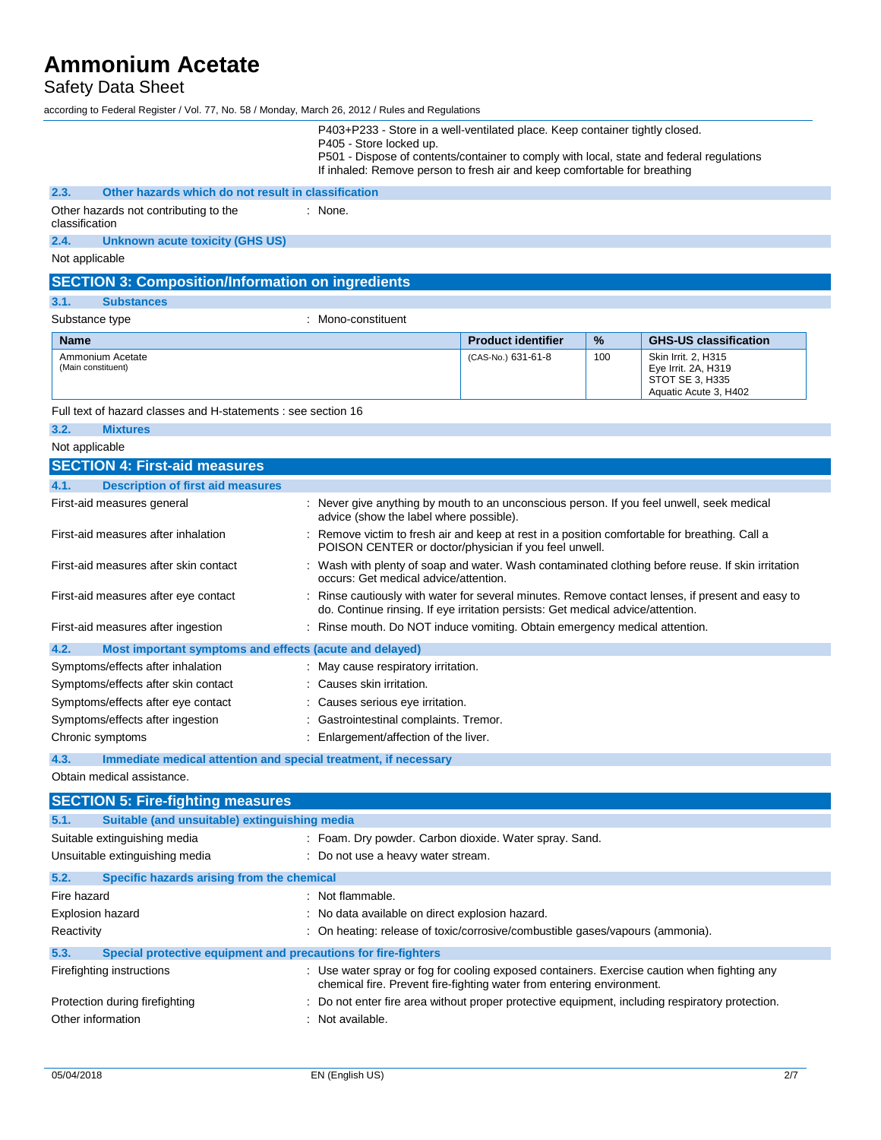## Safety Data Sheet

according to Federal Register / Vol. 77, No. 58 / Monday, March 26, 2012 / Rules and Regulations

|                                                                         | P403+P233 - Store in a well-ventilated place. Keep container tightly closed.<br>P405 - Store locked up.<br>P501 - Dispose of contents/container to comply with local, state and federal regulations<br>If inhaled: Remove person to fresh air and keep comfortable for breathing |                                                                                                                                                                      |     |                                                                                        |
|-------------------------------------------------------------------------|----------------------------------------------------------------------------------------------------------------------------------------------------------------------------------------------------------------------------------------------------------------------------------|----------------------------------------------------------------------------------------------------------------------------------------------------------------------|-----|----------------------------------------------------------------------------------------|
| 2.3.<br>Other hazards which do not result in classification             |                                                                                                                                                                                                                                                                                  |                                                                                                                                                                      |     |                                                                                        |
| Other hazards not contributing to the<br>classification                 | : None.                                                                                                                                                                                                                                                                          |                                                                                                                                                                      |     |                                                                                        |
| 2.4.<br><b>Unknown acute toxicity (GHS US)</b>                          |                                                                                                                                                                                                                                                                                  |                                                                                                                                                                      |     |                                                                                        |
| Not applicable                                                          |                                                                                                                                                                                                                                                                                  |                                                                                                                                                                      |     |                                                                                        |
| <b>SECTION 3: Composition/Information on ingredients</b>                |                                                                                                                                                                                                                                                                                  |                                                                                                                                                                      |     |                                                                                        |
| 3.1.<br><b>Substances</b>                                               |                                                                                                                                                                                                                                                                                  |                                                                                                                                                                      |     |                                                                                        |
| Substance type                                                          | : Mono-constituent                                                                                                                                                                                                                                                               |                                                                                                                                                                      |     |                                                                                        |
| <b>Name</b>                                                             |                                                                                                                                                                                                                                                                                  | <b>Product identifier</b>                                                                                                                                            | %   | <b>GHS-US classification</b>                                                           |
| Ammonium Acetate<br>(Main constituent)                                  |                                                                                                                                                                                                                                                                                  | (CAS-No.) 631-61-8                                                                                                                                                   | 100 | Skin Irrit. 2, H315<br>Eye Irrit. 2A, H319<br>STOT SE 3, H335<br>Aquatic Acute 3, H402 |
| Full text of hazard classes and H-statements : see section 16           |                                                                                                                                                                                                                                                                                  |                                                                                                                                                                      |     |                                                                                        |
| 3.2.<br><b>Mixtures</b>                                                 |                                                                                                                                                                                                                                                                                  |                                                                                                                                                                      |     |                                                                                        |
| Not applicable                                                          |                                                                                                                                                                                                                                                                                  |                                                                                                                                                                      |     |                                                                                        |
| <b>SECTION 4: First-aid measures</b>                                    |                                                                                                                                                                                                                                                                                  |                                                                                                                                                                      |     |                                                                                        |
| 4.1.<br><b>Description of first aid measures</b>                        |                                                                                                                                                                                                                                                                                  |                                                                                                                                                                      |     |                                                                                        |
| First-aid measures general                                              | : Never give anything by mouth to an unconscious person. If you feel unwell, seek medical<br>advice (show the label where possible).                                                                                                                                             |                                                                                                                                                                      |     |                                                                                        |
| First-aid measures after inhalation                                     | : Remove victim to fresh air and keep at rest in a position comfortable for breathing. Call a<br>POISON CENTER or doctor/physician if you feel unwell.                                                                                                                           |                                                                                                                                                                      |     |                                                                                        |
| First-aid measures after skin contact                                   | : Wash with plenty of soap and water. Wash contaminated clothing before reuse. If skin irritation<br>occurs: Get medical advice/attention.                                                                                                                                       |                                                                                                                                                                      |     |                                                                                        |
| First-aid measures after eye contact                                    | Rinse cautiously with water for several minutes. Remove contact lenses, if present and easy to<br>do. Continue rinsing. If eye irritation persists: Get medical advice/attention.                                                                                                |                                                                                                                                                                      |     |                                                                                        |
| First-aid measures after ingestion                                      | : Rinse mouth. Do NOT induce vomiting. Obtain emergency medical attention.                                                                                                                                                                                                       |                                                                                                                                                                      |     |                                                                                        |
| 4.2.<br>Most important symptoms and effects (acute and delayed)         |                                                                                                                                                                                                                                                                                  |                                                                                                                                                                      |     |                                                                                        |
| Symptoms/effects after inhalation                                       | : May cause respiratory irritation.                                                                                                                                                                                                                                              |                                                                                                                                                                      |     |                                                                                        |
| Symptoms/effects after skin contact                                     | : Causes skin irritation.                                                                                                                                                                                                                                                        |                                                                                                                                                                      |     |                                                                                        |
| Symptoms/effects after eye contact                                      | : Causes serious eye irritation.                                                                                                                                                                                                                                                 |                                                                                                                                                                      |     |                                                                                        |
| Symptoms/effects after ingestion                                        | : Gastrointestinal complaints. Tremor.                                                                                                                                                                                                                                           |                                                                                                                                                                      |     |                                                                                        |
| Chronic symptoms                                                        | : Enlargement/affection of the liver.                                                                                                                                                                                                                                            |                                                                                                                                                                      |     |                                                                                        |
| 4.3.<br>Immediate medical attention and special treatment, if necessary |                                                                                                                                                                                                                                                                                  |                                                                                                                                                                      |     |                                                                                        |
| Obtain medical assistance.                                              |                                                                                                                                                                                                                                                                                  |                                                                                                                                                                      |     |                                                                                        |
| <b>SECTION 5: Fire-fighting measures</b>                                |                                                                                                                                                                                                                                                                                  |                                                                                                                                                                      |     |                                                                                        |
| Suitable (and unsuitable) extinguishing media<br>5.1.                   |                                                                                                                                                                                                                                                                                  |                                                                                                                                                                      |     |                                                                                        |
| Suitable extinguishing media                                            | : Foam. Dry powder. Carbon dioxide. Water spray. Sand.                                                                                                                                                                                                                           |                                                                                                                                                                      |     |                                                                                        |
| Unsuitable extinguishing media                                          | : Do not use a heavy water stream.                                                                                                                                                                                                                                               |                                                                                                                                                                      |     |                                                                                        |
| 5.2.<br>Specific hazards arising from the chemical                      |                                                                                                                                                                                                                                                                                  |                                                                                                                                                                      |     |                                                                                        |
| Fire hazard                                                             | : Not flammable.                                                                                                                                                                                                                                                                 |                                                                                                                                                                      |     |                                                                                        |
| <b>Explosion hazard</b>                                                 | No data available on direct explosion hazard.                                                                                                                                                                                                                                    |                                                                                                                                                                      |     |                                                                                        |
| Reactivity                                                              | : On heating: release of toxic/corrosive/combustible gases/vapours (ammonia).                                                                                                                                                                                                    |                                                                                                                                                                      |     |                                                                                        |
| Special protective equipment and precautions for fire-fighters<br>5.3.  |                                                                                                                                                                                                                                                                                  |                                                                                                                                                                      |     |                                                                                        |
| Firefighting instructions                                               |                                                                                                                                                                                                                                                                                  | : Use water spray or fog for cooling exposed containers. Exercise caution when fighting any<br>chemical fire. Prevent fire-fighting water from entering environment. |     |                                                                                        |
| Protection during firefighting                                          | : Do not enter fire area without proper protective equipment, including respiratory protection.                                                                                                                                                                                  |                                                                                                                                                                      |     |                                                                                        |
| Other information                                                       | : Not available.                                                                                                                                                                                                                                                                 |                                                                                                                                                                      |     |                                                                                        |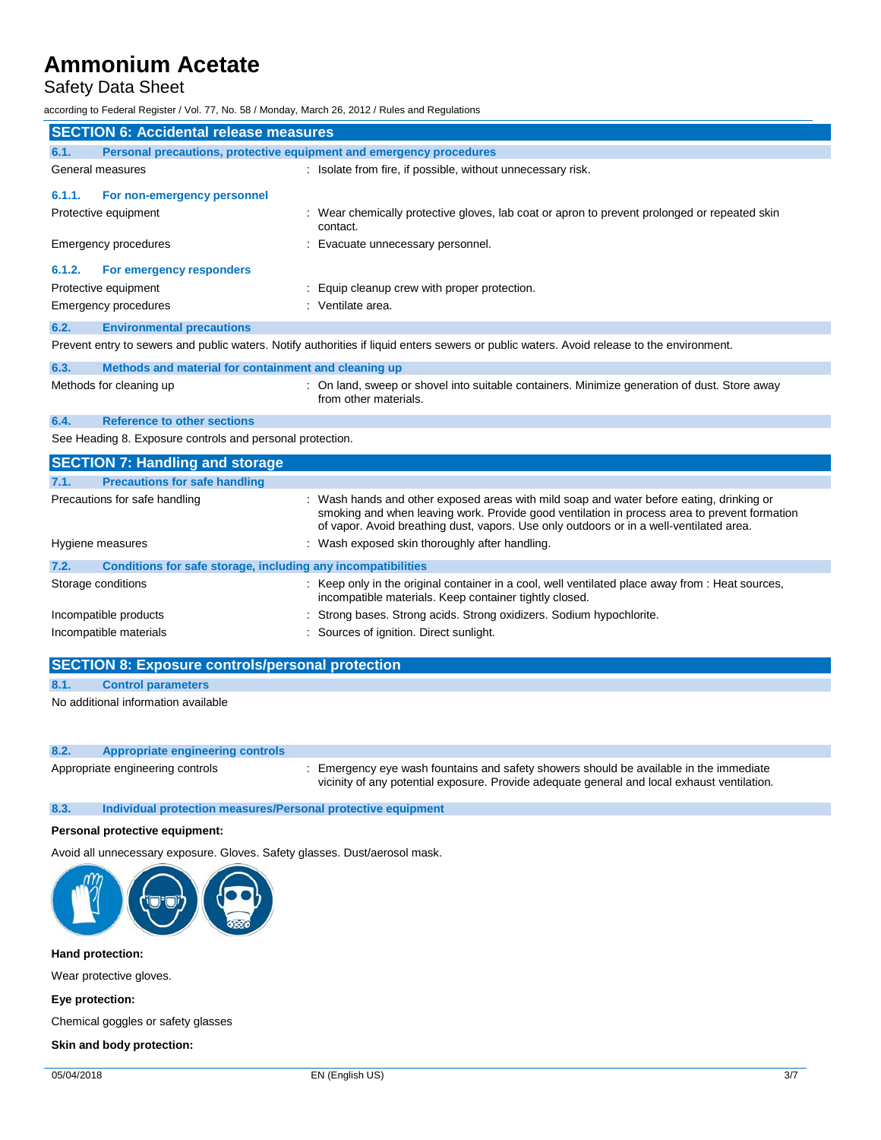## Safety Data Sheet

according to Federal Register / Vol. 77, No. 58 / Monday, March 26, 2012 / Rules and Regulations

| <b>SECTION 6: Accidental release measures</b>                                                                                             |                                                                     |                                                                                                                       |
|-------------------------------------------------------------------------------------------------------------------------------------------|---------------------------------------------------------------------|-----------------------------------------------------------------------------------------------------------------------|
| 6.1.                                                                                                                                      | Personal precautions, protective equipment and emergency procedures |                                                                                                                       |
|                                                                                                                                           | General measures                                                    | : Isolate from fire, if possible, without unnecessary risk.                                                           |
| 6.1.1.                                                                                                                                    | For non-emergency personnel                                         |                                                                                                                       |
| Protective equipment                                                                                                                      |                                                                     | : Wear chemically protective gloves, lab coat or apron to prevent prolonged or repeated skin<br>contact.              |
|                                                                                                                                           | Emergency procedures                                                | : Evacuate unnecessary personnel.                                                                                     |
| 6.1.2.                                                                                                                                    | For emergency responders                                            |                                                                                                                       |
|                                                                                                                                           | Protective equipment                                                | : Equip cleanup crew with proper protection.                                                                          |
|                                                                                                                                           | Emergency procedures                                                | : Ventilate area.                                                                                                     |
| 6.2.                                                                                                                                      | <b>Environmental precautions</b>                                    |                                                                                                                       |
| Prevent entry to sewers and public waters. Notify authorities if liquid enters sewers or public waters. Avoid release to the environment. |                                                                     |                                                                                                                       |
| 6.3.                                                                                                                                      | Methods and material for containment and cleaning up                |                                                                                                                       |
|                                                                                                                                           | Methods for cleaning up                                             | : On land, sweep or shovel into suitable containers. Minimize generation of dust. Store away<br>from other materials. |
| <b>Reference to other sections</b><br>6.4.                                                                                                |                                                                     |                                                                                                                       |
| See Heading 8. Exposure controls and personal protection.                                                                                 |                                                                     |                                                                                                                       |
|                                                                                                                                           | <b>SECTION 7: Handling and storage</b>                              |                                                                                                                       |

| <b>PLOTION 7. Handhilly and Storage</b> |                                                              |                                                                                                                                                                                                                                                                                     |  |
|-----------------------------------------|--------------------------------------------------------------|-------------------------------------------------------------------------------------------------------------------------------------------------------------------------------------------------------------------------------------------------------------------------------------|--|
| 7.1.                                    | <b>Precautions for safe handling</b>                         |                                                                                                                                                                                                                                                                                     |  |
| Precautions for safe handling           |                                                              | : Wash hands and other exposed areas with mild soap and water before eating, drinking or<br>smoking and when leaving work. Provide good ventilation in process area to prevent formation<br>of vapor. Avoid breathing dust, vapors. Use only outdoors or in a well-ventilated area. |  |
| Hygiene measures                        |                                                              | : Wash exposed skin thoroughly after handling.                                                                                                                                                                                                                                      |  |
| 7.2.                                    | Conditions for safe storage, including any incompatibilities |                                                                                                                                                                                                                                                                                     |  |
| Storage conditions                      |                                                              | : Keep only in the original container in a cool, well ventilated place away from : Heat sources,<br>incompatible materials. Keep container tightly closed.                                                                                                                          |  |
| Incompatible products                   |                                                              | : Strong bases. Strong acids. Strong oxidizers. Sodium hypochlorite.                                                                                                                                                                                                                |  |
| Incompatible materials                  |                                                              | : Sources of ignition. Direct sunlight.                                                                                                                                                                                                                                             |  |
|                                         |                                                              |                                                                                                                                                                                                                                                                                     |  |

### **SECTION 8: Exposure controls/personal protection**

#### **8.1. Control parameters**

No additional information available

### **8.2. Appropriate engineering controls**

Appropriate engineering controls : Emergency eye wash fountains and safety showers should be available in the immediate vicinity of any potential exposure. Provide adequate general and local exhaust ventilation.

#### **8.3. Individual protection measures/Personal protective equipment**

#### **Personal protective equipment:**

Avoid all unnecessary exposure. Gloves. Safety glasses. Dust/aerosol mask.



**Hand protection:**

Wear protective gloves.

**Eye protection:**

Chemical goggles or safety glasses

**Skin and body protection:**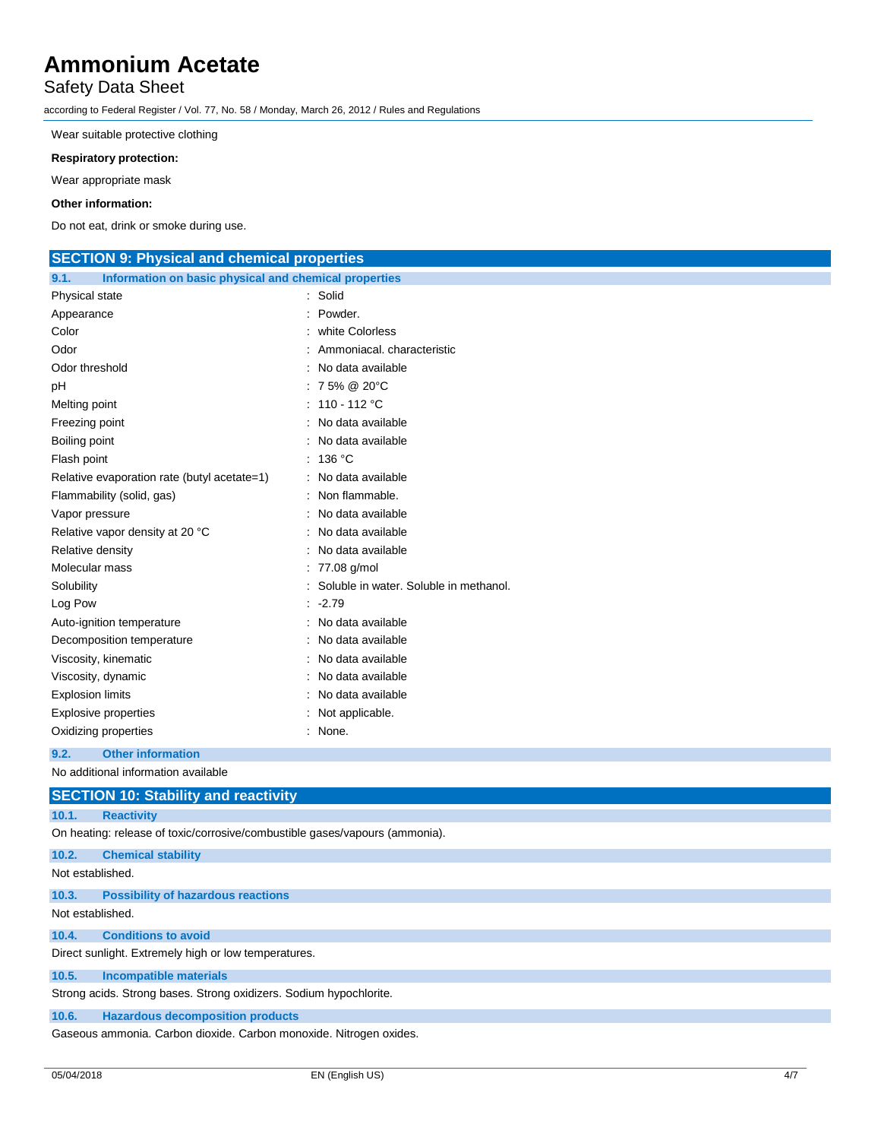### Safety Data Sheet

according to Federal Register / Vol. 77, No. 58 / Monday, March 26, 2012 / Rules and Regulations

Wear suitable protective clothing

#### **Respiratory protection:**

Wear appropriate mask

#### **Other information:**

Do not eat, drink or smoke during use.

| <b>SECTION 9: Physical and chemical properties</b>            |                                          |  |
|---------------------------------------------------------------|------------------------------------------|--|
| Information on basic physical and chemical properties<br>9.1. |                                          |  |
| Physical state                                                | : Solid                                  |  |
| Appearance                                                    | : Powder.                                |  |
| Color                                                         | : white Colorless                        |  |
| Odor                                                          | Ammoniacal. characteristic               |  |
| Odor threshold                                                | No data available                        |  |
| pH                                                            | : 75% @ 20°C                             |  |
| Melting point                                                 | : $110 - 112$ °C                         |  |
| Freezing point                                                | : No data available                      |  |
| Boiling point                                                 | : No data available                      |  |
| Flash point                                                   | : 136 °C                                 |  |
| Relative evaporation rate (butyl acetate=1)                   | : No data available                      |  |
| Flammability (solid, gas)                                     | : Non flammable.                         |  |
| Vapor pressure                                                | : No data available                      |  |
| Relative vapor density at 20 °C                               | : No data available                      |  |
| Relative density                                              | : No data available                      |  |
| Molecular mass                                                | : 77.08 g/mol                            |  |
| Solubility                                                    | : Soluble in water. Soluble in methanol. |  |
| Log Pow                                                       | $-2.79$                                  |  |
| Auto-ignition temperature                                     | : No data available                      |  |
| Decomposition temperature                                     | : No data available                      |  |
| Viscosity, kinematic                                          | : No data available                      |  |
| Viscosity, dynamic                                            | : No data available                      |  |
| <b>Explosion limits</b>                                       | : No data available                      |  |
| <b>Explosive properties</b>                                   | : Not applicable.                        |  |
| : None.<br>Oxidizing properties                               |                                          |  |
| <b>Other information</b><br>9.2.                              |                                          |  |
| No additional information available                           |                                          |  |
| <b>SECTION 10: Stability and reactivity</b>                   |                                          |  |
| 10.1.<br><b>Reactivity</b>                                    |                                          |  |

On heating: release of toxic/corrosive/combustible gases/vapours (ammonia).

### **10.2. Chemical stability**

Not established.

**10.3. Possibility of hazardous reactions**

Not established.

#### **10.4. Conditions to avoid**

Direct sunlight. Extremely high or low temperatures.

#### **10.5. Incompatible materials**

Strong acids. Strong bases. Strong oxidizers. Sodium hypochlorite.

#### **10.6. Hazardous decomposition products**

Gaseous ammonia. Carbon dioxide. Carbon monoxide. Nitrogen oxides.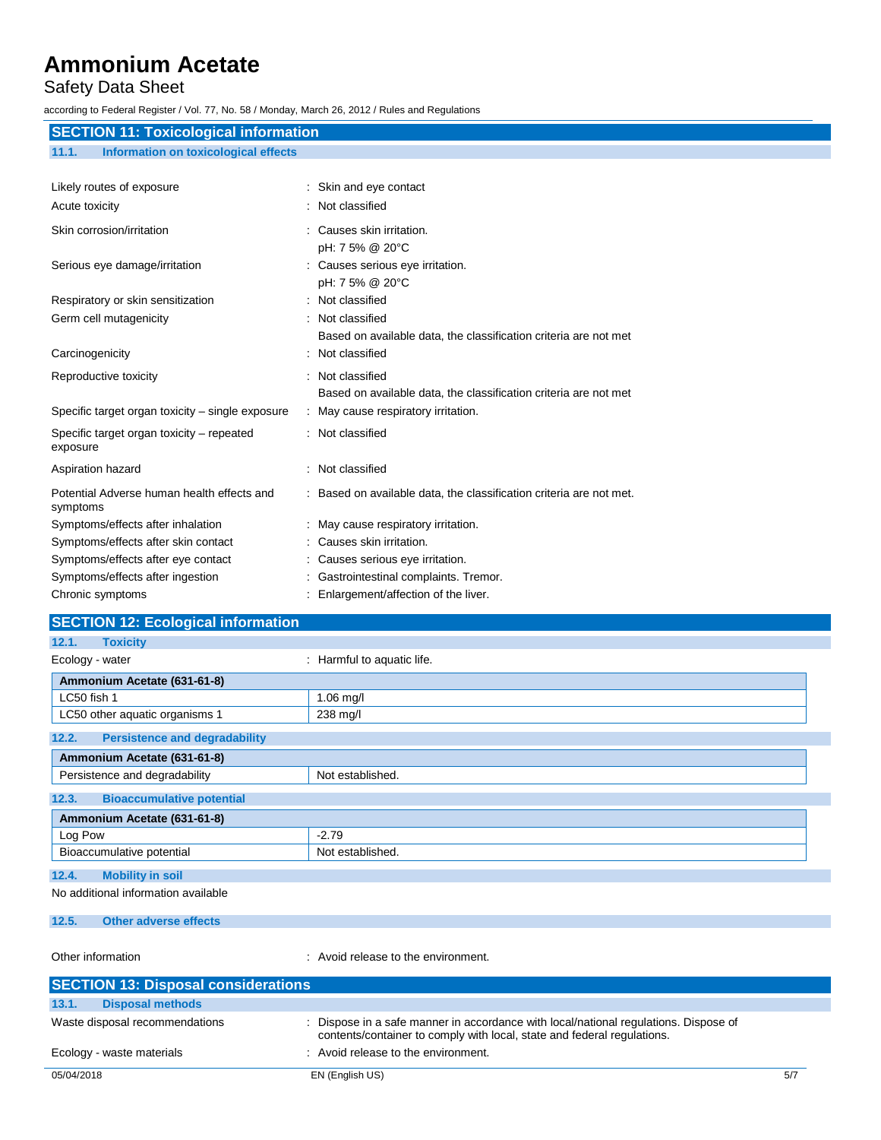## Safety Data Sheet

according to Federal Register / Vol. 77, No. 58 / Monday, March 26, 2012 / Rules and Regulations

| <b>SECTION 11: Toxicological information</b>           |                                                                     |  |
|--------------------------------------------------------|---------------------------------------------------------------------|--|
| <b>Information on toxicological effects</b><br>11.1.   |                                                                     |  |
|                                                        |                                                                     |  |
| Likely routes of exposure                              | : Skin and eye contact                                              |  |
| Acute toxicity                                         | : Not classified                                                    |  |
| Skin corrosion/irritation                              | : Causes skin irritation.                                           |  |
|                                                        | pH: 7 5% @ 20°C                                                     |  |
| Serious eye damage/irritation                          | : Causes serious eye irritation.                                    |  |
|                                                        | pH: 7 5% @ 20°C                                                     |  |
| Respiratory or skin sensitization                      | : Not classified                                                    |  |
| Germ cell mutagenicity                                 | : Not classified                                                    |  |
|                                                        | Based on available data, the classification criteria are not met    |  |
| Carcinogenicity                                        | : Not classified                                                    |  |
| Reproductive toxicity                                  | : Not classified                                                    |  |
|                                                        | Based on available data, the classification criteria are not met    |  |
| Specific target organ toxicity - single exposure       | : May cause respiratory irritation.                                 |  |
| Specific target organ toxicity – repeated<br>exposure  | : Not classified                                                    |  |
| Aspiration hazard                                      | : Not classified                                                    |  |
| Potential Adverse human health effects and<br>symptoms | : Based on available data, the classification criteria are not met. |  |
| Symptoms/effects after inhalation                      | : May cause respiratory irritation.                                 |  |
| Symptoms/effects after skin contact                    | : Causes skin irritation.                                           |  |
| Symptoms/effects after eye contact                     | Causes serious eye irritation.                                      |  |
| Symptoms/effects after ingestion                       | : Gastrointestinal complaints. Tremor.                              |  |
| Chronic symptoms                                       | Enlargement/affection of the liver.                                 |  |

| <b>SECTION 12: Ecological information</b>     |                            |  |
|-----------------------------------------------|----------------------------|--|
|                                               |                            |  |
| <b>Toxicity</b><br>12.1.                      |                            |  |
| Ecology - water                               | : Harmful to aquatic life. |  |
| Ammonium Acetate (631-61-8)                   |                            |  |
| LC50 fish 1                                   | $1.06$ mg/l                |  |
| LC50 other aquatic organisms 1                | 238 mg/l                   |  |
| <b>Persistence and degradability</b><br>12.2. |                            |  |
| Ammonium Acetate (631-61-8)                   |                            |  |
| Persistence and degradability                 | Not established.           |  |
| 12.3.<br><b>Bioaccumulative potential</b>     |                            |  |
| Ammonium Acetate (631-61-8)                   |                            |  |
| Log Pow                                       | $-2.79$                    |  |
| Bioaccumulative potential                     | Not established.           |  |
| 12.4.<br><b>Mobility in soil</b>              |                            |  |
| No additional information available           |                            |  |
| <b>Other adverse effects</b><br>12.5.         |                            |  |

Other information **COLOREGY** : Avoid release to the environment.

| <b>SECTION 13: Disposal considerations</b> |                                                                                                                                                                 |     |  |
|--------------------------------------------|-----------------------------------------------------------------------------------------------------------------------------------------------------------------|-----|--|
| 13.1.<br><b>Disposal methods</b>           |                                                                                                                                                                 |     |  |
| Waste disposal recommendations             | : Dispose in a safe manner in accordance with local/national regulations. Dispose of<br>contents/container to comply with local, state and federal regulations. |     |  |
| Ecology - waste materials                  | : Avoid release to the environment.                                                                                                                             |     |  |
| 05/04/2018                                 | EN (English US)                                                                                                                                                 | 5/7 |  |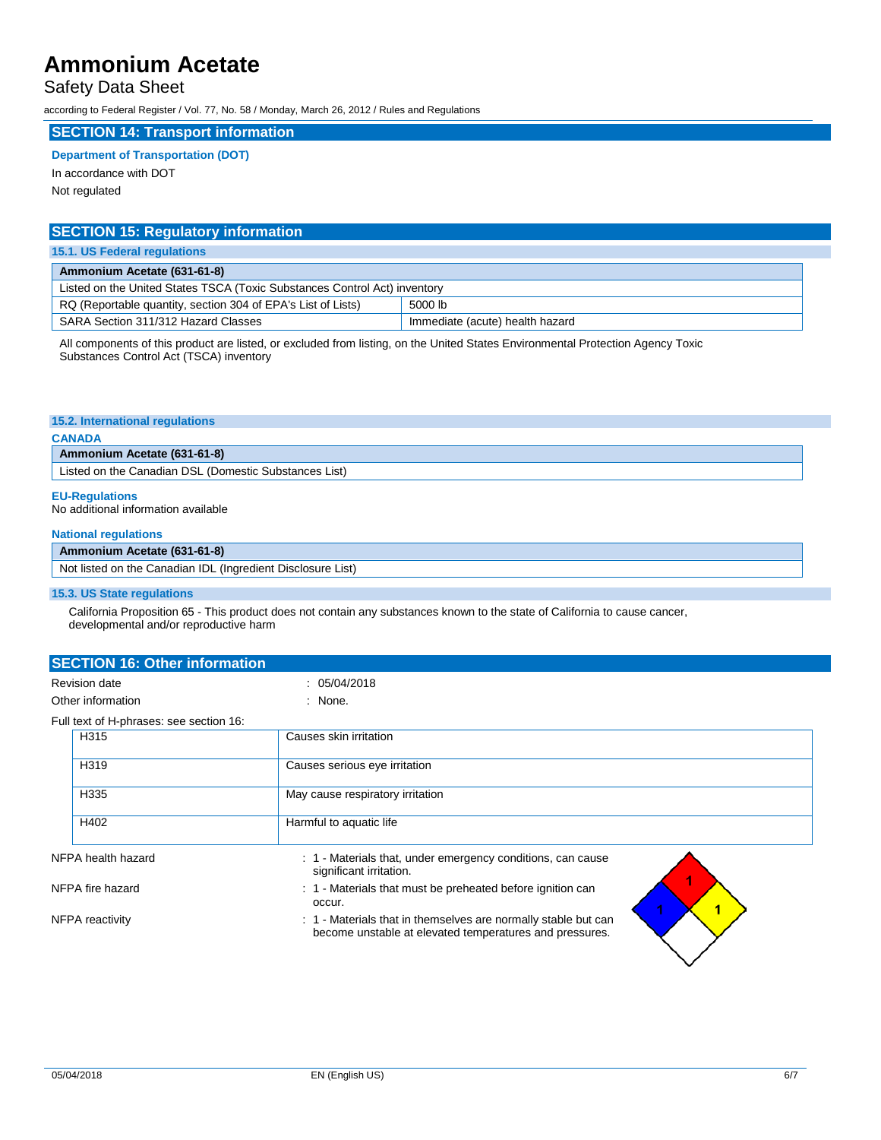### Safety Data Sheet

according to Federal Register / Vol. 77, No. 58 / Monday, March 26, 2012 / Rules and Regulations

#### **SECTION 14: Transport information**

#### **Department of Transportation (DOT)**

In accordance with DOT Not regulated

| <b>SECTION 15: Regulatory information</b>                                 |  |  |
|---------------------------------------------------------------------------|--|--|
| 15.1. US Federal regulations                                              |  |  |
| Ammonium Acetate (631-61-8)                                               |  |  |
| Listed on the United States TSCA (Toxic Substances Control Act) inventory |  |  |
| RQ (Reportable quantity, section 304 of EPA's List of Lists)<br>5000 lb   |  |  |
| SARA Section 311/312 Hazard Classes<br>Immediate (acute) health hazard    |  |  |

All components of this product are listed, or excluded from listing, on the United States Environmental Protection Agency Toxic Substances Control Act (TSCA) inventory

#### **15.2. International regulations**

#### **CANADA**

**Ammonium Acetate (631-61-8)** Listed on the Canadian DSL (Domestic Substances List)

## **EU-Regulations**

No additional information available

#### **National regulations**

### **Ammonium Acetate (631-61-8)**

| Not listed on the Canadian IDL<br>. (Inaredient Disclosure List) |  |
|------------------------------------------------------------------|--|
|                                                                  |  |

### **15.3. US State regulations**

California Proposition 65 - This product does not contain any substances known to the state of California to cause cancer, developmental and/or reproductive harm

|                                           | <b>SECTION 16: Other information</b>    |                                                                                                                           |  |  |  |
|-------------------------------------------|-----------------------------------------|---------------------------------------------------------------------------------------------------------------------------|--|--|--|
| <b>Revision date</b><br>Other information |                                         | : 05/04/2018                                                                                                              |  |  |  |
|                                           |                                         | : None.                                                                                                                   |  |  |  |
|                                           | Full text of H-phrases: see section 16: |                                                                                                                           |  |  |  |
|                                           | H315                                    | Causes skin irritation                                                                                                    |  |  |  |
|                                           | H319                                    | Causes serious eye irritation                                                                                             |  |  |  |
|                                           | H335                                    | May cause respiratory irritation                                                                                          |  |  |  |
|                                           | H402                                    | Harmful to aquatic life                                                                                                   |  |  |  |
|                                           | NFPA health hazard                      | : 1 - Materials that, under emergency conditions, can cause<br>significant irritation.                                    |  |  |  |
| NFPA fire hazard                          |                                         | : 1 - Materials that must be preheated before ignition can<br>occur.                                                      |  |  |  |
| NFPA reactivity                           |                                         | : 1 - Materials that in themselves are normally stable but can<br>become unstable at elevated temperatures and pressures. |  |  |  |